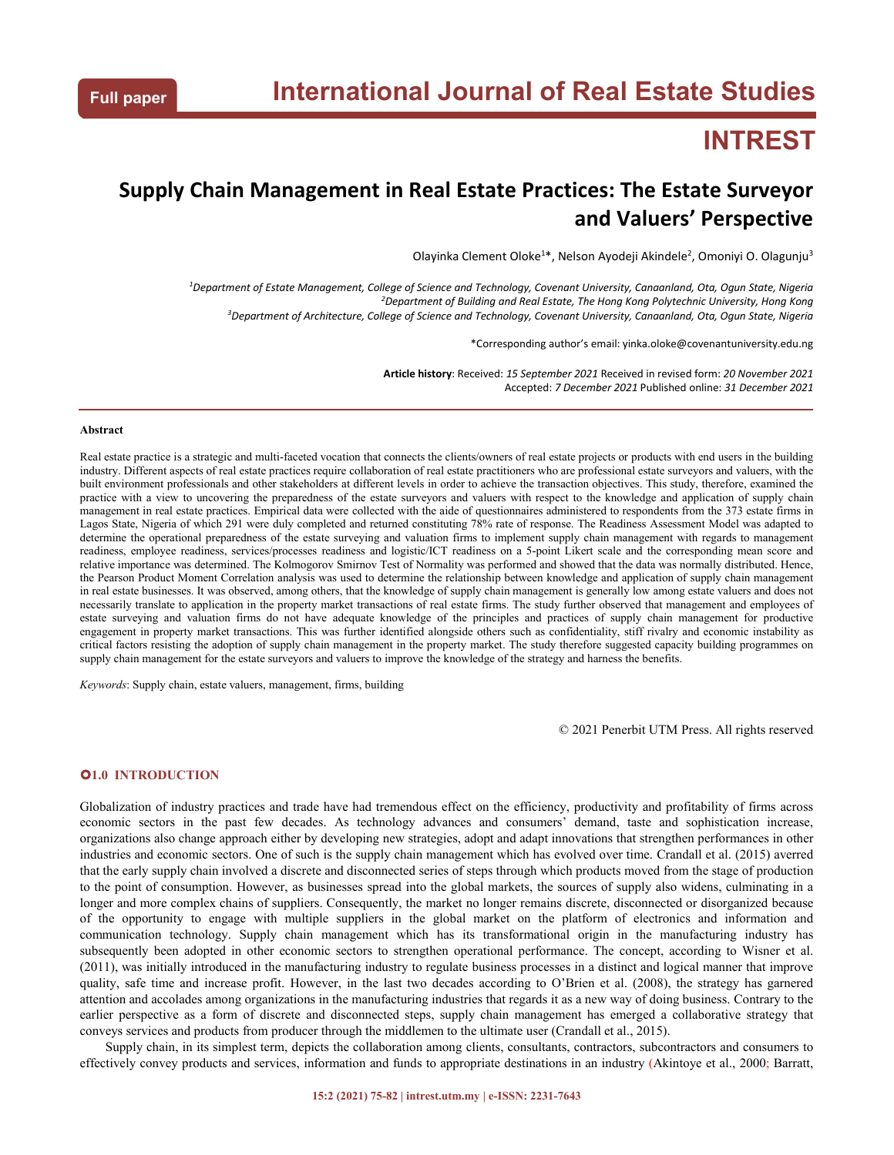# **INTREST**

## **Supply Chain Management in Real Estate Practices: The Estate Surveyor and Valuers' Perspective**

Olayinka Clement Oloke<sup>1\*</sup>, Nelson Ayodeji Akindele<sup>2</sup>, Omoniyi O. Olagunju<sup>3</sup> 3

<sup>1</sup>Department of Estate Management, College of Science and Technology, Covenant University, Canaanland, Ota, Ogun State, Nigeria *<sup>2</sup>Department of Building and Real Estate,The Hong Kong Polytechnic University, Hong Kong* <sup>3</sup>Department of Architecture, College of Science and Technology, Covenant University, Canaanland, Ota, Oqun State, Nigeria

\*Corresponding author's email: yinka.oloke@covenantuniversity.edu.ng

**Article history**: Received: *15 September 2021* Received in revised form: *20 November 2021* Accepted: *7 December 2021* Published online: *31 December 2021*

#### **Abstract**

Real estate practice is a strategic and multi-faceted vocation that connects the clients/owners ofreal estate projects orproducts with end users in the building industry. Different aspects ofreal estate practices require collaboration of real estate practitioners who are professional estate surveyors and valuers, with the built environment professionals and other stakeholders at different levels in order to achieve the transaction objectives. This study, therefore, examined the practice with a view to uncovering the preparedness of the estate surveyors and valuers with respect to the knowledge and application of supply chain management in real estate practices. Empirical data were collected with the aide of questionnaires administered to respondents from the 373 estate firms in Lagos State, Nigeria of which 291 were duly completed and returned constituting 78% rate of response. The Readiness Assessment Model was adapted to determine the operational preparedness of the estate surveying and valuation firms to implement supply chain management with regards to management readiness, employee readiness, services/processes readiness and logistic/ICT readiness on a 5-point Likert scale and the corresponding mean score and relative importance was determined. The Kolmogorov Smirnov Test of Normality was performed and showed that the data was normally distributed.Hence, the Pearson Product Moment Correlation analysis was used to determine the relationship between knowledge and application of supply chain management in real estate businesses. It was observed, among others, that the knowledge of supply chain management is generally low among estate valuers and does not necessarily translate to application in the property market transactions of real estate firms. The study further observed that management and employees of estate surveying and valuation firms do not have adequate knowledge engagement in property market transactions. This was further identified alongside others such as confidentiality, stiff rivalry and economic instability as critical factors resisting the adoption of supply chain management in the property market. The study therefore suggested capacity building programmes on supply chain management for the estate surveyors and valuers to improve the knowledge of the strategy and harness the benefits.

*Keywords*: Supply chain, estate valuers, management, firms, building

© 2021 Penerbit UTM Press. All rights reserved

## **1.0 INTRODUCTION**

Globalization of industry practices and trade have had tremendous effect on the efficiency, productivity and profitability of firms across economic sectors in the past few decades. As technology advances and consumers' demand, taste and sophistication increase, organizations also change approach either by developing new strategies, adopt and adapt innovations that strengthen performances in other industries and economic sectors. One of such is the supply chain management which has evolved over time. Crandall et al. (2015) averred that the early supply chain involved a discrete and disconnected series of steps through which products moved from the stage of production to the point of consumption. However, as businesses spread into the global markets, the sources of supply also widens, culminating in a longer and more complex chains of suppliers. Consequently, the market no longer remains discrete, disconnected or disorganized because of the opportunity to engage with multiple suppliers in the globalmarket on the platform of electronics and information and communication technology. Supply chain management which has its transformational origin in the manufacturing industry has subsequently been adopted in other economic sectors to strengthen operational performance. The concept, according to Wisner et al. (2011), was initially introduced in the manufacturing industry to regulate business processes in a distinct and logical manner that improve quality, safe time and increase profit. However, in the last two decades according to O'Brien et al. (2008), the strategy has garnered attention and accolades among organizations in the manufacturing industries that regards it as a new way of doing business. Contrary to the earlier perspective as a form of discrete and disconnected steps, supply chain management has emerged a collaborative strategy that conveys services and products from producer through the middlemen to the ultimate user (Crandall et al., 2015).

Supply chain, in its simplest term, depicts the collaboration among clients, consultants, contractors, subcontractors and consumers to effectively convey products and services, information and funds to appropriate destinations in an industry (Akintoye et al., 2000; Barratt,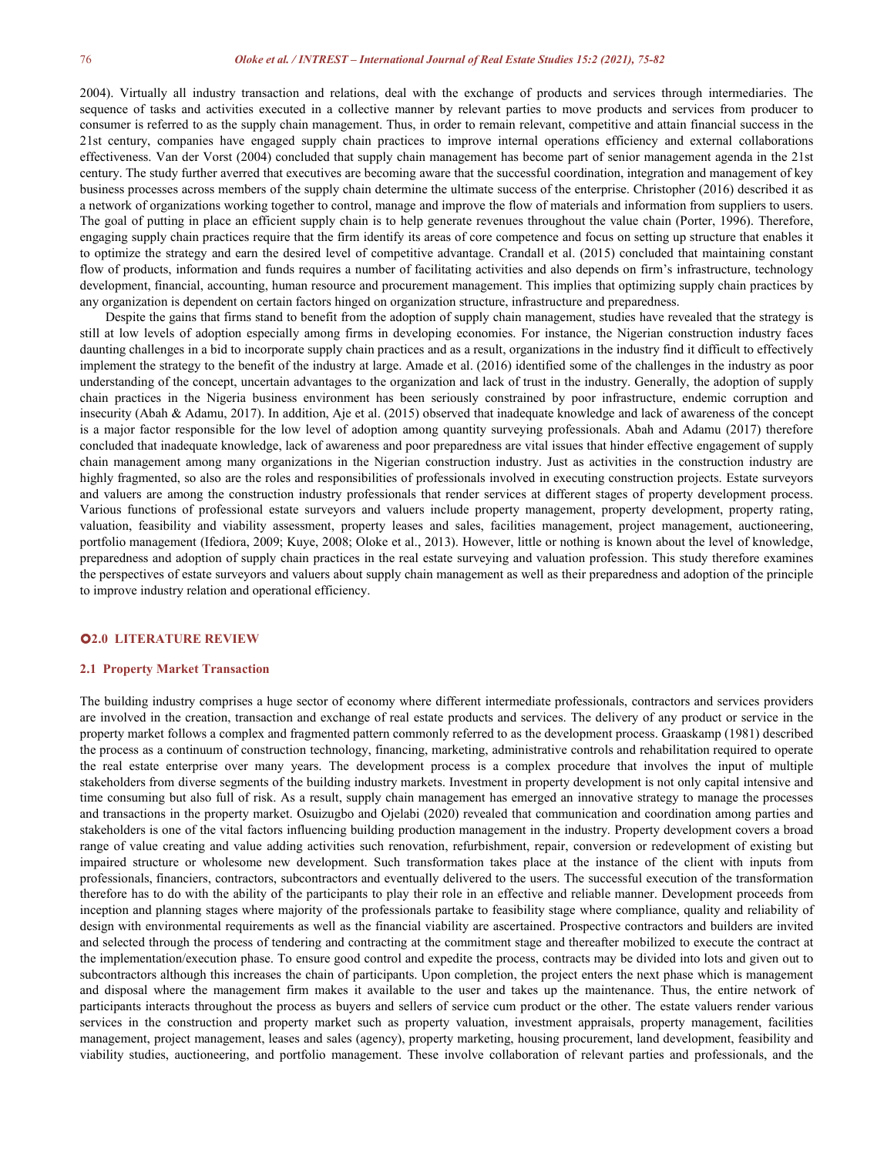2004). Virtually all industry transaction and relations, deal with the exchange of products and services through intermediaries. The sequence of tasks and activities executed in a collective manner by relevant parties to move products and services from producer to consumer is referred to asthe supply chain management. Thus, in order to remain relevant, competitive and attain financial success in the 21st century, companies have engaged supply chain practices to improve internal operations efficiency and external collaborations effectiveness. Van der Vorst (2004) concluded that supply chain management has become part of senior management agenda in the 21st century. The study further averred that executives are becoming aware that the successful coordination, integration and management of key business processes across members of the supply chain determine the ultimate success of the enterprise. Christopher (2016) described it as a network of organizations working together to control, manage and improve the flow of materials and information from suppliers to users. The goal of putting in place an efficient supply chain is to help generate revenues throughout the value chain (Porter, 1996). Therefore, engaging supply chain practices require that the firm identify its areas of core competence and focus on setting up structure that enables it to optimize the strategy and earn the desired level of competitive advantage. Crandall et al. (2015) concluded that maintaining constant flow of products, information and funds requires a number of facilitating activities and also depends on firm's infrastructure, technology development, financial, accounting, human resource and procurement management. This implies that optimizing supply chain practices by any organization is dependent on certain factors hinged on organization structure, infrastructure and preparedness.

Despite the gains that firms stand to benefit from the adoption of supply chain management, studies have revealed that the strategy is still at low levels of adoption especially among firms in developing economies. For instance, the Nigerian construction industry faces daunting challenges in a bid to incorporate supply chain practices and as a result, organizations in the industry find it difficult to effectively implement the strategy to the benefit of the industry at large. Amade et al. (2016) identified some of the challenges in the industry as poor<br>understanding of the concept, uncertain advantages to the organization and lack chain practices in the Nigeria business environment has been seriously constrained by poor infrastructure, endemic corruption and insecurity (Abah & Adamu, 2017). In addition, Aje et al. (2015) observed that inadequate knowledge and lack of awareness ofthe concept is a major factor responsible for the low level of adoption among quantity surveying professionals. Abah and Adamu (2017) therefore concluded that inadequate knowledge, lack of awareness and poor preparedness are vital issues that hinder effective engagement of supply chain management among many organizations in the Nigerian construction industry. Just as activities in the construction industry are highly fragmented, so also are the roles and responsibilities of professionals involved in executing construction projects. Estate surveyors and valuers are among the construction industry professionals that render services at different stages of property development process. Various functions of professional estate surveyors and valuers include property management, property development, property rating, valuation, feasibility and viability assessment, property leases and sales, facilities management, project management, auctioneering, portfolio management (Ifediora, 2009; Kuye, 2008; Oloke et al., 2013). However, little or nothing is known about the level of knowledge, preparedness and adoption of supply chain practices in the real estate surveying and valuation profession.This study therefore examines the perspectives ofestate surveyors and valuers about supply chain management as well as their preparedness and adoption of the principle to improve industry relation and operational efficiency.

#### **2.0 LITERATURE REVIEW**

#### **2.1 Property Market Transaction**

The building industry comprises a huge sector of economy where different intermediate professionals, contractors and services providers are involved in the creation, transaction and exchange of real estate products and services. The delivery of any product or service in the property market follows a complex and fragmented pattern commonly referred to asthe development process. Graaskamp (1981) described the process as a continuum of construction technology, financing, marketing, administrative controls and rehabilitation required to operate the real estate enterprise over many years. The development process is a complex procedure that involves the input of multiple stakeholders from diverse segments of the building industry markets. Investment in property development is not only capital intensive and time consuming but also full of risk. As a result, supply chain management has emerged an innovative strategy to manage the processes and transactions in the property market. Osuizugbo and Ojelabi (2020) revealed that communication and coordination among parties and stakeholders is one of the vital factors influencing building production management in the industry. Property development covers a broad range of value creating and value adding activities such renovation, refurbishment, repair, conversion or redevelopment of existing but impaired structure or wholesome new development. Such transformation takes place at the instance of the client with inputs from professionals, financiers, contractors, subcontractors and eventually delivered to the users. The successful execution of the transformation therefore has to do with the ability of the participants to play their role in an effective and reliable manner. Development proceeds from inception and planning stages where majority of the professionals partake to feasibility stage where compliance, quality and reliability of design with environmental requirements as well as the financial viability are ascertained. Prospective contractors and builders are invited and selected through the process of tendering and contracting at the commitment stage and thereafter mobilized to execute the contract at the implementation/execution phase. To ensure good control and expedite the process, contracts may be divided into lots and given out to subcontractors although this increases the chain of participants. Upon completion, the project enters the next phase which is management and disposal where the management firm makes it available to the user and takes up the maintenance. Thus, the entire network of participants interacts throughout the process as buyers and sellers of service cum product or the other. The estate valuers render various services in the construction and property market such as property valuation, investment appraisals, property management, facilities management, project management, leases and sales (agency), property marketing, housing procurement, land development, feasibility and viability studies, auctioneering, and portfolio management. These involve collaboration of relevant parties and professionals, and the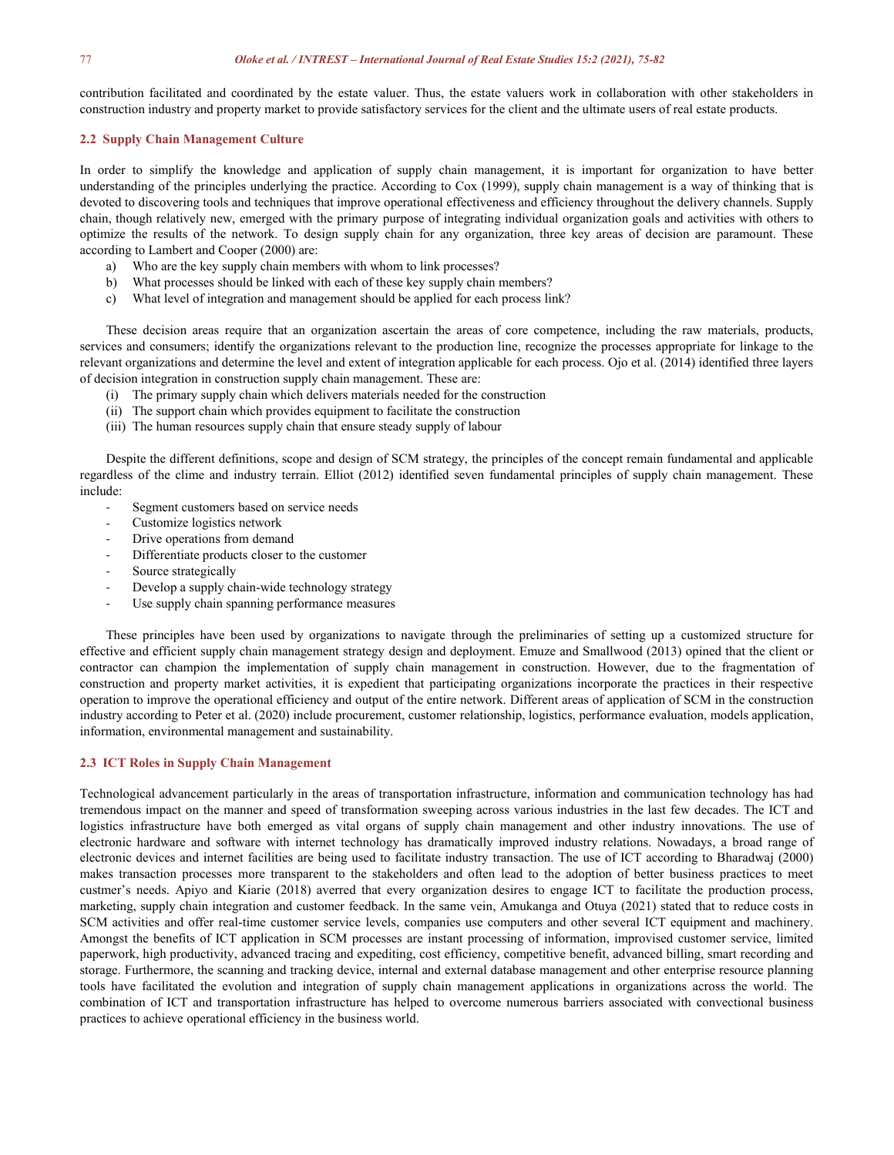contribution facilitated and coordinated by the estate valuer. Thus, the estate valuers work in collaboration with other stakeholders in construction industry and property market to provide satisfactory services for the client and the ultimate users ofreal estate products.

#### **2.2 Supply Chain Management Culture**

In order to simplify the knowledge and application of supply chain management, it is important for organization to have better understanding of the principles underlying the practice. According to Cox (1999), supply chain management is a way of thinking that is devoted to discovering tools and techniques that improve operational effectiveness and efficiency throughout the delivery channels. Supply chain, though relatively new, emerged with the primary purpose of integrating individual organization goals and activities with others to optimize the results of the network. To design supply chain for any organization, three key areas of decision are paramount. These according to Lambert and Cooper(2000) are:

- a) Who are the key supply chain members with whom to link processes?
- b) What processes should be linked with each of these key supply chain members?
- c) What level of integration and management should be applied for each process link?

These decision areas require that an organization ascertain the areas of core competence, including the raw materials, products, services and consumers; identify the organizations relevant to the production line, recognize the processes appropriate for linkage to the relevant organizations and determine the level and extent of integration applicable for each process. Ojo et al. (2014) identified three layers of decision integration in construction supply chain management. These are:

- (i) The primary supply chain which delivers materials needed for the construction
- (ii) The support chain which provides equipment to facilitate the construction
- (iii) The human resources supply chain that ensure steady supply of labour

Despite the different definitions, scope and design of SCM strategy, the principles of the concept remain fundamental and applicable regardless of the clime and industry terrain. Elliot (2012) identified seven fundamental principles of supply chain management. These include:

- Segment customers based on service needs
- Customize logistics network
- Drive operations from demand
- Differentiate products closer to the customer
- Source strategically
- Develop a supply chain-wide technology strategy
- Use supply chain spanning performance measures

These principles have been used by organizations to navigate through the preliminaries of setting up a customized structure for effective and efficient supply chain management strategy design and deployment. Emuze and Smallwood (2013) opined that the client or contractor can champion the implementation of supply chain management in construction. However, due to the fragmentation of construction and property market activities, it is expedient that participating organizations incorporate the practices in their respective operation to improve the operational efficiency and output of the entire network. Different areas of application of SCM in the construction industry according to Peter etal. (2020) include procurement, customer relationship, logistics, performance evaluation, models application, information, environmental management and sustainability.

## **2.3 ICT Roles in Supply Chain Management**

Technological advancement particularly in the areas of transportation infrastructure, information and communication technology has had tremendous impact on the manner and speed of transformation sweeping across various industries in the last few decades. The ICT and logistics infrastructure have both emerged as vital organs of supply chain management and other industry innovations. The use of electronic hardware and software with internet technology has dramatically improved industry relations. Nowadays, a broad range of electronic devices and internet facilities are being used to facilitate industry transaction. The use of ICT according to Bharadwaj (2000) makes transaction processes more transparent to the stakeholders and often lead to the adoption of better business practices to meet custmer's needs. Apiyo and Kiarie (2018) averred that every organization desires to engage ICT to facilitate the production process, marketing, supply chain integration and customer feedback. In the same vein, Amukanga and Otuya (2021) stated that to reduce costs in SCM activities and offer real-time customer service levels, companies use computers and other several ICT equipment and machinery. Amongst the benefits of ICT application in SCM processes are instant processing of information, improvised customer service, limited paperwork, high productivity, advanced tracing and expediting, cost efficiency, competitive benefit, advanced billing, smart recording and storage. Furthermore, the scanning and tracking device, internal and external database management and other enterprise resource planning tools have facilitated the evolution and integration of supply chain management applications in organizations across the world. The combination of ICT and transportation infrastructure has helped to overcome numerous barriers associated with convectional business practices to achieve operational efficiency in the business world.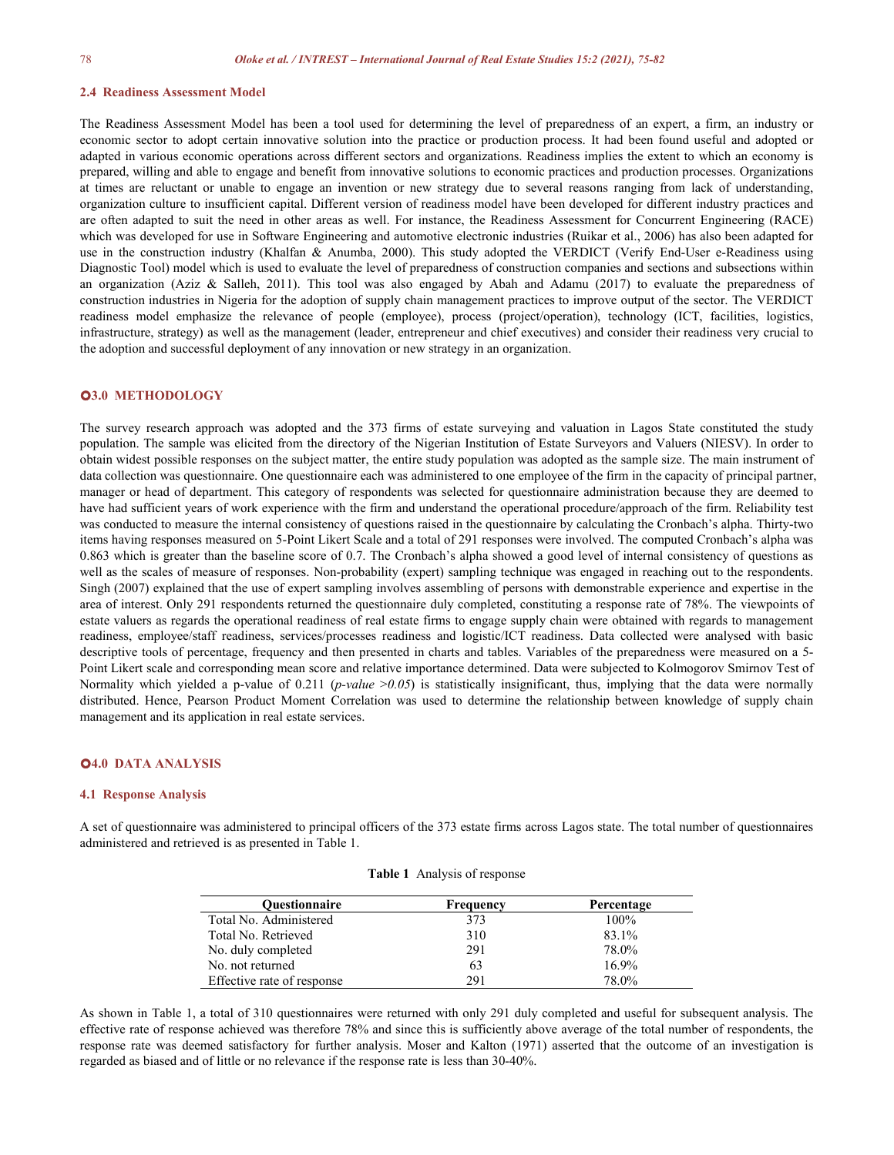#### **2.4 Readiness Assessment Model**

The Readiness Assessment Model has been a tool used for determining the level of preparedness of an expert, a firm, an industry or economic sector to adopt certain innovative solution into the practice or production process. It had been found useful and adopted or adapted in various economic operations across different sectors and organizations. Readiness implies the extent to which an economy is prepared, willing and able to engage and benefit from innovative solutions to economic practices and production processes. Organizations at times are reluctant or unable to engage an invention or new strategy due to several reasons ranging from lack of understanding, organization culture to insufficient capital. Different version of readiness model have been developed for different industry practices and are often adapted to suit the need in other areas as well. For instance, the Readiness Assessment for Concurrent Engineering (RACE) which was developed for use in Software Engineering and automotive electronic industries (Ruikar et al., 2006) has also been adapted for use in the construction industry (Khalfan & Anumba, 2000). This study adopted the VERDICT (Verify End-User e-Readiness using Diagnostic Tool) model which is used to evaluate the level of preparedness of construction companies and sections and subsections within an organization (Aziz & Salleh, 2011). This tool was also engaged by Abah and Adamu (2017) to evaluate the preparedness of construction industries in Nigeria for the adoption of supply chain management practices to improve output of the sector. The VERDICT readiness model emphasize the relevance of people (employee), process (project/operation), technology (ICT, facilities, logistics, infrastructure, strategy) as well as the management (leader, entrepreneur and chief executives) and consider their readiness very crucial to the adoption and successful deployment of any innovation or new strategy in an organization.

#### **3.0 METHODOLOGY**

The survey research approach was adopted and the 373 firms of estate surveying and valuation in Lagos State constituted the study population. The sample was elicited from the directory of the Nigerian Institution of Estate Surveyors and Valuers (NIESV). In order to obtain widest possible responses on the subject matter, the entire study population was adopted as the sample size. The main instrument of data collection was questionnaire. One questionnaire each was administered to one employee of the firm in the capacity of principal partner, manager or head of department. This category of respondents was selected for questionnaire administration because they are deemed to have had sufficient years of work experience with the firm and understand the operational procedure/approach of the firm. Reliability test was conducted to measure the internal consistency of questions raised in the questionnaire by calculating the Cronbach's alpha. Thirty-two items having responses measured on 5-Point Likert Scale and a total of 291 responses were involved. The computed Cronbach's alpha was 0.863 which is greater than the baseline score of 0.7. The Cronbach's alpha showed a good level of internal consistency of questions as well as the scales of measure of responses. Non-probability (expert) sampling technique was engaged in reaching out to the respondents. Singh (2007) explained that the use of expert sampling involves assembling of persons with demonstrable experience and expertise in the area of interest. Only 291 respondents returned the questionnaire duly completed, constituting a response rate of 78%. The viewpoints of estate valuers as regards the operational readiness ofreal estate firms to engage supply chain were obtained with regards to management readiness, employee/staff readiness, services/processes readiness and logistic/ICT readiness. Data collected were analysed with basic descriptive tools of percentage, frequency and then presented in charts and tables. Variables of the preparedness were measured on a 5- Point Likert scale and corresponding mean score and relative importance determined. Data were subjected to Kolmogorov Smirnov Test of Normality which yielded a p-value of 0.211 (*p-value*  $>0.05$ ) is statistically insignificant, thus, implying that the data were normally distributed. Hence, Pearson Product Moment Correlation was used to determine the relationship between knowledge of supply chain management and its application in real estate services.

## **4.0 DATA ANALYSIS**

#### **4.1 Response Analysis**

A set of questionnaire was administered to principal officers of the 373 estate firms across Lagos state. The total number of questionnaires administered and retrieved is as presented in Table 1.

| <b>Table 1</b> Analysis of response |  |  |  |
|-------------------------------------|--|--|--|
|-------------------------------------|--|--|--|

| Ouestionnaire              | Frequency | Percentage |
|----------------------------|-----------|------------|
| Total No. Administered     | 373       | 100%       |
| Total No. Retrieved        | 310       | 83.1%      |
| No. duly completed         | 291       | 78.0%      |
| No. not returned           | 63        | $16.9\%$   |
| Effective rate of response | 291       | 78.0%      |

As shown in Table 1, a total of 310 questionnaires were returned with only 291 duly completed and useful for subsequent analysis. The effective rate of response achieved was therefore 78% and since this is sufficiently above average of the total number of respondents, the response rate was deemed satisfactory for further analysis. Moser and Kalton (1971) asserted that the outcome of an investigation is regarded as biased and of little or no relevance if the response rate is less than 30-40%.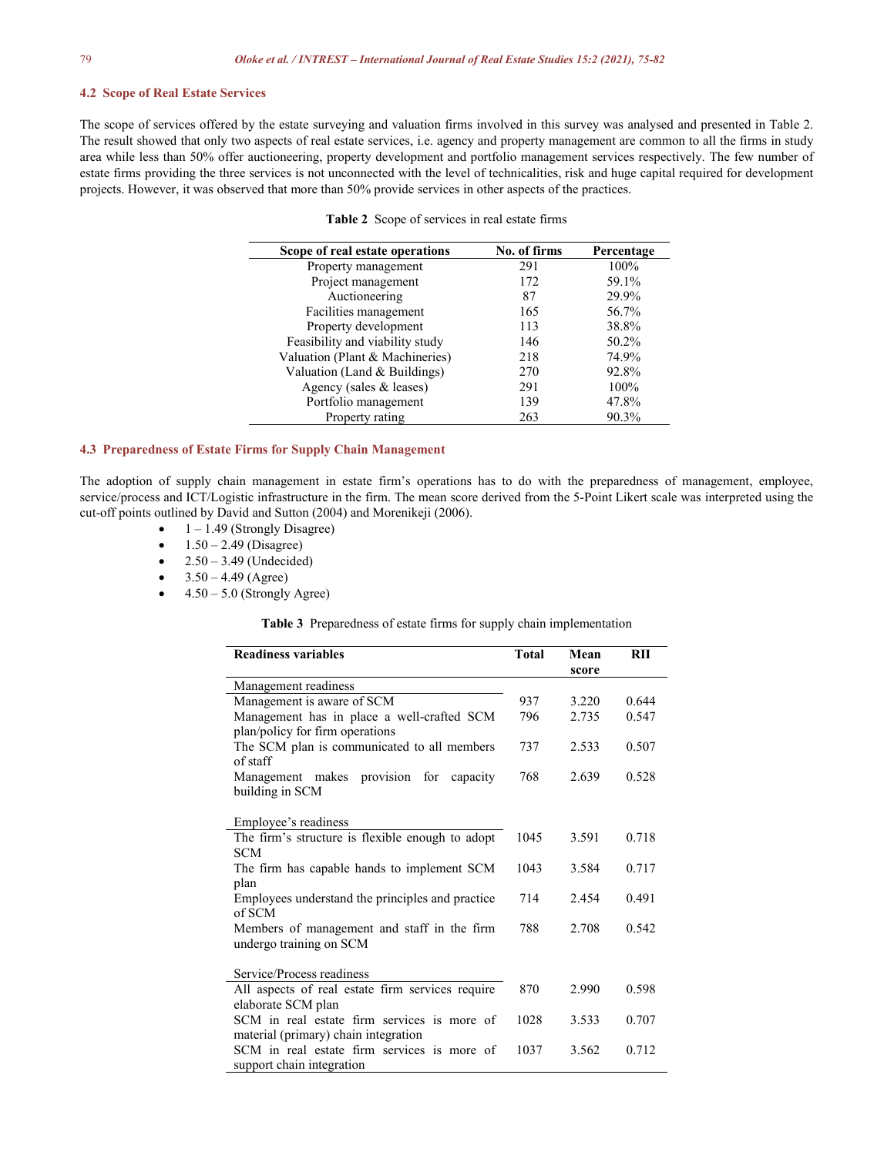#### **4.2 Scope of Real Estate Services**

The scope of services offered by the estate surveying and valuation firms involved in this survey was analysed and presented in Table 2.<br>The result showed that only two aspects of real estate services, i.e. agency and prop area while less than 50% offer auctioneering, property development and portfolio management services respectively. The few number of estate firms providing the three services is not unconnected with the level of technicalities, risk and huge capital required for development projects. However, it was observed that more than 50% provide services in other aspects ofthe practices.

|  |  | <b>Table 2</b> Scope of services in real estate firms |  |
|--|--|-------------------------------------------------------|--|
|  |  |                                                       |  |

| Scope of real estate operations | No. of firms | Percentage |
|---------------------------------|--------------|------------|
| Property management             | 291          | 100%       |
| Project management              | 172          | 59.1%      |
| Auctioneering                   | 87           | 29.9%      |
| Facilities management           | 165          | 56.7%      |
| Property development            | 113          | 38.8%      |
| Feasibility and viability study | 146          | 50.2%      |
| Valuation (Plant & Machineries) | 218          | 74.9%      |
| Valuation (Land & Buildings)    | 270          | 92.8%      |
| Agency (sales & leases)         | 291          | 100%       |
| Portfolio management            | 139          | 47.8%      |
| Property rating                 | 263          | 90.3%      |

## **4.3 Preparedness ofEstate Firms for Supply Chain Management**

The adoption of supply chain management in estate firm's operations has to do with the preparedness of management, employee, service/process and ICT/Logistic infrastructure in the firm. The mean score derived from the 5-Point Likert scale was interpreted using the cut-off points outlined by David and Sutton (2004) and Morenikeji (2006).

- 1 1.49 (Strongly Disagree)
- $1.50 2.49$  (Disagree)
- $2.50 3.49$  (Undecided)
- $3.50 4.49$  (Agree)
- $4.50 5.0$  (Strongly Agree)

Table 3 Preparedness of estate firms for supply chain implementation

| <b>Readiness variables</b>                                                          | <b>Total</b> | Mean<br>score | RII   |
|-------------------------------------------------------------------------------------|--------------|---------------|-------|
| Management readiness                                                                |              |               |       |
| Management is aware of SCM                                                          | 937          | 3.220         | 0.644 |
| Management has in place a well-crafted SCM<br>plan/policy for firm operations       | 796          | 2.735         | 0.547 |
| The SCM plan is communicated to all members<br>of staff                             | 737          | 2.533         | 0.507 |
| Management makes provision for capacity<br>building in SCM                          | 768          | 2.639         | 0.528 |
| Employee's readiness                                                                |              |               |       |
| The firm's structure is flexible enough to adopt<br><b>SCM</b>                      | 1045         | 3.591         | 0.718 |
| The firm has capable hands to implement SCM<br>plan                                 | 1043         | 3.584         | 0.717 |
| Employees understand the principles and practice<br>of SCM                          | 714          | 2.454         | 0.491 |
| Members of management and staff in the firm<br>undergo training on SCM              | 788          | 2.708         | 0.542 |
| Service/Process readiness                                                           |              |               |       |
| All aspects of real estate firm services require<br>elaborate SCM plan              | 870          | 2.990         | 0.598 |
| SCM in real estate firm services is more of<br>material (primary) chain integration | 1028         | 3.533         | 0.707 |
| SCM in real estate firm services is more of<br>support chain integration            | 1037         | 3.562         | 0.712 |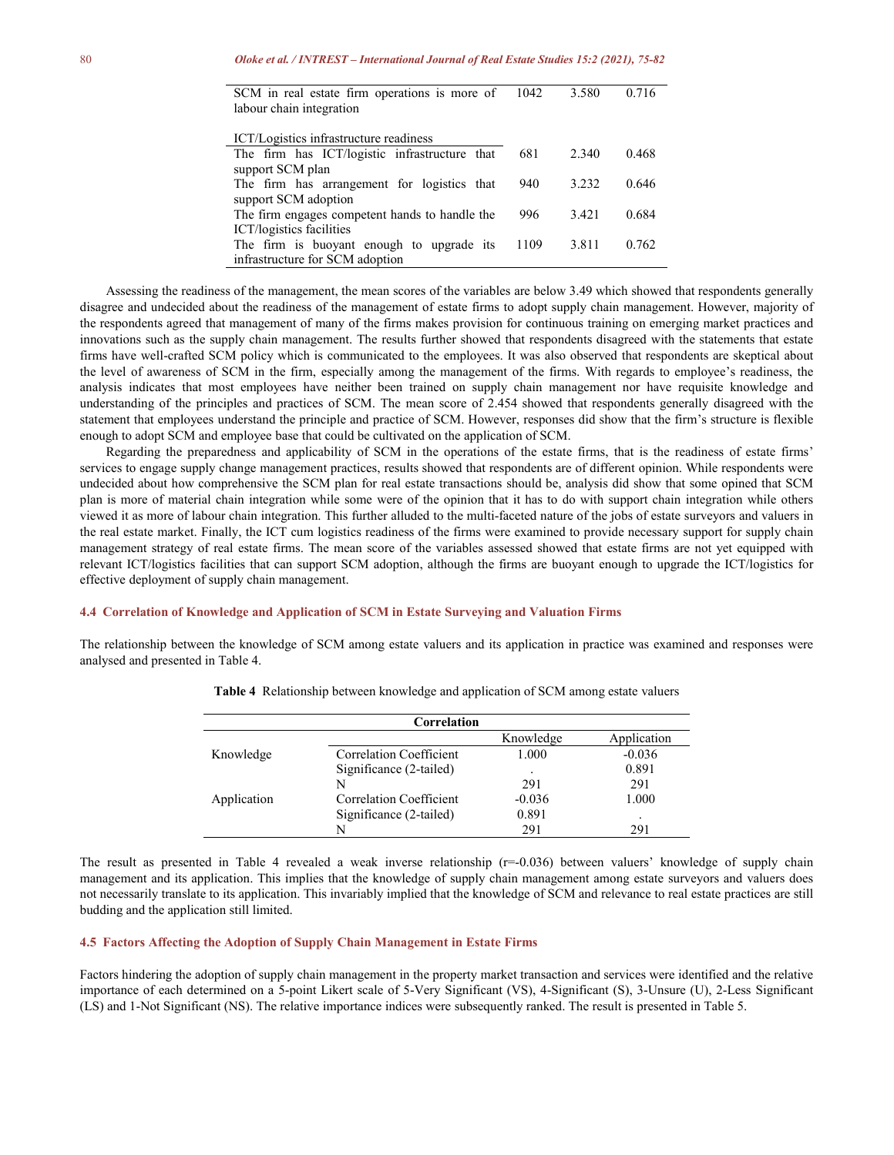| SCM in real estate firm operations is more of 1042 | 3.580 | 0.716 |
|----------------------------------------------------|-------|-------|
| labour chain integration                           |       |       |
|                                                    |       |       |
| ICT/Logistics infrastructure readiness             |       |       |
| The firm has ICT/logistic infrastructure that 681  | 2.340 | 0.468 |
| support SCM plan                                   |       |       |
| The firm has arrangement for logistics that 940    | 3.232 | 0.646 |
| $\sim$ $\sim$ $\sim$ $\sim$ $\sim$ $\sim$          |       |       |

|  | support SCM adoption<br>The firm engages competent hands to handle the 996         |  |  | 3.421 | 0.684 |                              |  |
|--|------------------------------------------------------------------------------------|--|--|-------|-------|------------------------------|--|
|  | ICT/logistics facilities<br>The firm is buoyant enough to upgrade its $1109$ 3.811 |  |  |       | 0.762 |                              |  |
|  | infrastructure for SCM adoption                                                    |  |  |       |       |                              |  |
|  |                                                                                    |  |  |       |       | $11$ 11 0.40 1.1 1.1 1.1 $($ |  |

Assessing the readiness of the management, the mean scores of the variables are below 3.49 which showed that respondents generally disagree and undecided about the readiness of the management of estate firms to adopt supply chain management. However, majority of the respondents agreed that management of many of the firms makes provision for continuous training on emerging market practices and innovations such as the supply chain management. The results further showed that respondents disagreed with the statements that estate firms have well-crafted SCM policy which is communicated to the employees. It was also observed that respondents are skeptical about the level of awareness of SCM in the firm, especially among the management of the firms. With regards to employee's readiness, the analysis indicates that most employees have neither been trained on supply chain management nor have requisite knowledge and understanding of the principles and practices of SCM. The mean score of 2.454 showed that respondents generally disagreed with the statement that employees understand the principle and practice of SCM. However, responses did show that the firm's structure is flexible enough to adopt SCM and employee base that could be cultivated on the application of SCM.

Regarding the preparedness and applicability of SCM in the operations of the estate firms, that is the readiness of estate firms' services to engage supply change management practices, results showed that respondents are of different opinion. While respondents were undecided about how comprehensive the SCM plan for real estate transactions should be, analysis did show that some opined that SCM plan is more of material chain integration while some were of the opinion that it has to do with support chain integration while others viewed it as more of labour chain integration. This further alluded to the multi-faceted nature of the jobs ofestate surveyors and valuers in the real estate market. Finally, the ICT cum logistics readiness of the firms were examined to provide necessary support for supply chain management strategy of real estate firms. The mean score of the variables assessed showed that estate firms are not yet equipped with relevant ICT/logistics facilities that can support SCM adoption, although the firms are buoyant enough to upgrade the ICT/logistics for effective deployment of supply chain management.

#### **4.4 Correlation of Knowledge and Application of SCM in Estate Surveying and Valuation Firms**

The relationship between the knowledge of SCM among estate valuers and its application in practice was examined and responses were analysed and presented in Table 4.

|             | Correlation             |           |             |
|-------------|-------------------------|-----------|-------------|
|             |                         | Knowledge | Application |
| Knowledge   | Correlation Coefficient | 1.000     | $-0.036$    |
|             | Significance (2-tailed) |           | 0.891       |
|             | N                       | 291       | 291         |
| Application | Correlation Coefficient | $-0.036$  | 1.000       |
|             | Significance (2-tailed) | 0.891     |             |
|             |                         | 291       | 291         |

**Table 4** Relationship between knowledge and application of SCM among estate valuers

The result as presented in Table 4 revealed a weak inverse relationship  $(r=0.036)$  between valuers' knowledge of supply chain management and its application. This implies that the knowledge of supply chain management among estate surveyors and valuers does not necessarily translate to its application. This invariably implied that the knowledge of SCM and relevance to real estate practices are still budding and the application still limited.

#### **4.5 Factors Affecting the Adoption of Supply Chain Management in Estate Firms**

Factors hindering the adoption of supply chain management in the property market transaction and services were identified and the relative importance of each determined on a 5-point Likert scale of 5-Very Significant (VS), 4-Significant (S), 3-Unsure (U), 2-Less Significant (LS) and 1-Not Significant (NS). The relative importance indices were subsequently ranked. The result is presented in Table 5.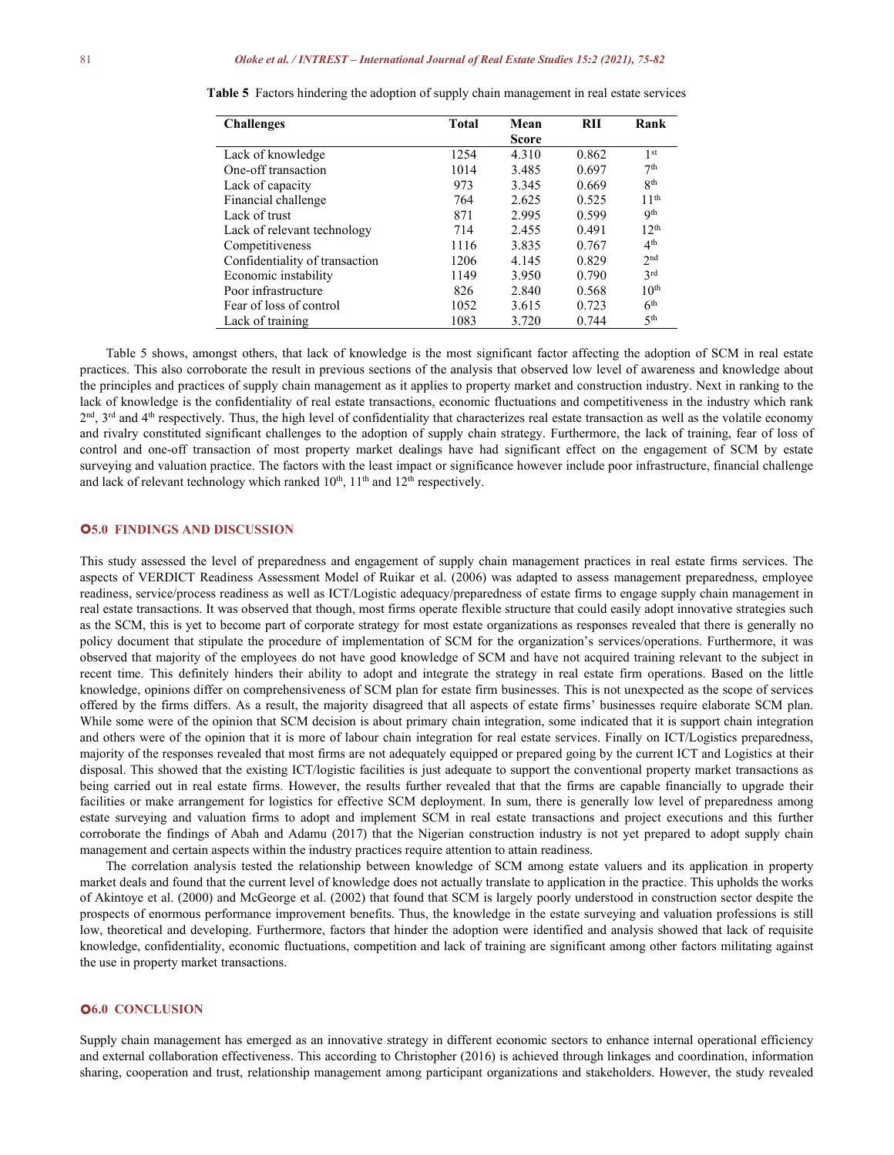| <b>Challenges</b>              | Total | Mean         | RII   | Rank             |
|--------------------------------|-------|--------------|-------|------------------|
|                                |       | <b>Score</b> |       |                  |
| Lack of knowledge              | 1254  | 4.310        | 0.862 | 1 <sup>st</sup>  |
| One-off transaction            | 1014  | 3.485        | 0.697 | 7 <sup>th</sup>  |
| Lack of capacity               | 973   | 3.345        | 0.669 | 8 <sup>th</sup>  |
| Financial challenge            | 764   | 2.625        | 0.525 | 11 <sup>th</sup> |
| Lack of trust                  | 871   | 2.995        | 0.599 | <b>9th</b>       |
| Lack of relevant technology    | 714   | 2.455        | 0.491 | 12 <sup>th</sup> |
| Competitiveness                | 1116  | 3.835        | 0.767 | 4 <sup>th</sup>  |
| Confidentiality of transaction | 1206  | 4.145        | 0.829 | 2 <sub>nd</sub>  |
| Economic instability           | 1149  | 3.950        | 0.790 | 3 <sup>rd</sup>  |
| Poor infrastructure            | 826   | 2.840        | 0.568 | 10 <sup>th</sup> |
| Fear of loss of control        | 1052  | 3.615        | 0.723 | 6 <sup>th</sup>  |
| Lack of training               | 1083  | 3.720        | 0.744 | 5 <sup>th</sup>  |

**Table 5** Factors hindering the adoption of supply chain management in real estate services

Table 5 shows, amongst others, that lack of knowledge is the most significant factor affecting the adoption of SCM in real estate practices. This also corroborate the result in previous sections of the analysis that observed low level of awareness and knowledge about the principles and practices of supply chain management as it applies to property market and construction industry. Next in ranking to the lack of knowledge is the confidentiality of real estate transactions, economic fluctuations and competitiveness in the industry which rank  $2<sup>nd</sup>$ ,  $3<sup>rd</sup>$  and  $4<sup>th</sup>$  respectively. Thus, the high level of confidentiality that characterizes real estate transaction as well as the volatile economy and rivalry constituted significant challenges to the adoption of supply chain strategy. Furthermore, the lack of training, fear of loss of control and one-off transaction of most property market dealings have had significant effect on the engagement of SCM by estate surveying and valuation practice. The factors with the least impact or significance however include poor infrastructure, financial challenge and lack of relevant technology which ranked  $10^{\text{th}}$ ,  $11^{\text{th}}$  and  $12^{\text{th}}$  respectively.

## **5.0 FINDINGS AND DISCUSSION**

This study assessed the level of preparedness and engagement of supply chain management practices in real estate firms services. The aspects of VERDICT Readiness Assessment Model of Ruikar et al. (2006) was adapted to assess management preparedness, employee readiness, service/process readiness as well as ICT/Logistic adequacy/preparedness of estate firms to engage supply chain management in real estate transactions. It was observed that though, most firms operate flexible structure that could easily adopt innovative strategies such as the SCM, this is yet to become part of corporate strategy for most estate organizations as responses revealed that there isgenerally no policy document that stipulate the procedure of implementation of SCM for the organization's services/operations. Furthermore, it was observed that majority of the employees do not have good knowledge of SCM and have not acquired training relevant to the subject in recent time. This definitely hinders their ability to adopt and integrate the strategy in real estate firm operations. Based on the little knowledge, opinions differ on comprehensiveness of SCM plan for estate firm businesses. This is not unexpected as the scope of services offered by the firms differs. As a result, the majority disagreed that all aspects of estate firms' businesses require elaborate SCM plan. While some were of the opinion that SCM decision is about primary chain integration, some indicated that it is support chain integration and others were of the opinion that it is more of labour chain integration for real estate services. Finally on ICT/Logistics preparedness, majority of the responses revealed that most firms are not adequately equipped or prepared going by the currentICT and Logistics at their disposal. This showed that the existing ICT/logistic facilities is just adequate to support the conventional property market transactions as being carried out in real estate firms. However, the results further revealed that that the firms are capable financially to upgrade their facilities or make arrangement for logistics for effective SCM deployment. In sum, there is generally low level of preparedness among estate surveying and valuation firms to adopt and implement SCM in real estate transactions and project executions and this further corroborate the findings of Abah and Adamu (2017) that the Nigerian construction industry is not yet prepared to adopt supply chain management and certain aspects within the industry practices require attention to attain readiness.

The correlation analysis tested the relationship between knowledge of SCM among estate valuers and its application in property market deals and found that the current level of knowledge does not actually translate to application in the practice.This upholds the works of Akintoye et al. (2000) and McGeorge et al. (2002) that found that SCM is largely poorly understood in construction sector despite the prospects of enormous performance improvement benefits. Thus, the knowledge in the estate surveying and valuation professions is still low, theoretical and developing. Furthermore, factors that hinder the adoption were identified and analysis showed that lack of requisite knowledge, confidentiality, economic fluctuations, competition and lack of training are significant among other factors militating against the use in property market transactions.

#### **6.0 CONCLUSION**

Supply chain management has emerged as an innovative strategy in different economic sectors to enhance internal operational efficiency and external collaboration effectiveness. This according to Christopher (2016) is achieved through linkages and coordination, information sharing, cooperation and trust, relationship management among participant organizations and stakeholders. However, the study revealed